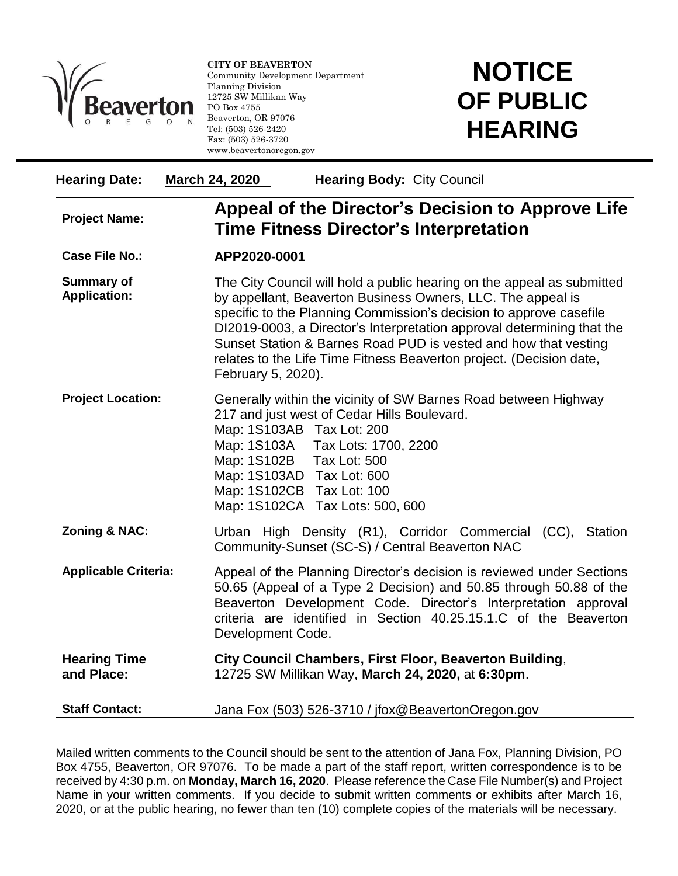

l

**CITY OF BEAVERTON** Community Development Department Planning Division 12725 SW Millikan Way PO Box 4755 Beaverton, OR 97076 Tel: (503) 526-2420 Fax: (503) 526-3720 www.beavertonoregon.gov

## **NOTICE OF PUBLIC HEARING**

| <b>Hearing Date:</b>                     | March 24, 2020<br><b>Hearing Body: City Council</b>                                                                                                                                                                                                                                                                                                                                                                                                   |
|------------------------------------------|-------------------------------------------------------------------------------------------------------------------------------------------------------------------------------------------------------------------------------------------------------------------------------------------------------------------------------------------------------------------------------------------------------------------------------------------------------|
| <b>Project Name:</b>                     | Appeal of the Director's Decision to Approve Life<br><b>Time Fitness Director's Interpretation</b>                                                                                                                                                                                                                                                                                                                                                    |
| <b>Case File No.:</b>                    | APP2020-0001                                                                                                                                                                                                                                                                                                                                                                                                                                          |
| <b>Summary of</b><br><b>Application:</b> | The City Council will hold a public hearing on the appeal as submitted<br>by appellant, Beaverton Business Owners, LLC. The appeal is<br>specific to the Planning Commission's decision to approve casefile<br>DI2019-0003, a Director's Interpretation approval determining that the<br>Sunset Station & Barnes Road PUD is vested and how that vesting<br>relates to the Life Time Fitness Beaverton project. (Decision date,<br>February 5, 2020). |
| <b>Project Location:</b>                 | Generally within the vicinity of SW Barnes Road between Highway<br>217 and just west of Cedar Hills Boulevard.<br>Map: 1S103AB Tax Lot: 200<br>Map: 1S103A Tax Lots: 1700, 2200<br>Map: 1S102B Tax Lot: 500<br>Map: 1S103AD Tax Lot: 600<br>Map: 1S102CB Tax Lot: 100<br>Map: 1S102CA Tax Lots: 500, 600                                                                                                                                              |
| Zoning & NAC:                            | Urban High Density (R1), Corridor Commercial (CC),<br>Station<br>Community-Sunset (SC-S) / Central Beaverton NAC                                                                                                                                                                                                                                                                                                                                      |
| <b>Applicable Criteria:</b>              | Appeal of the Planning Director's decision is reviewed under Sections<br>50.65 (Appeal of a Type 2 Decision) and 50.85 through 50.88 of the<br>Beaverton Development Code. Director's Interpretation approval<br>criteria are identified in Section 40.25.15.1.C of the Beaverton<br>Development Code.                                                                                                                                                |
| <b>Hearing Time</b><br>and Place:        | City Council Chambers, First Floor, Beaverton Building,<br>12725 SW Millikan Way, March 24, 2020, at 6:30pm.                                                                                                                                                                                                                                                                                                                                          |
| <b>Staff Contact:</b>                    | Jana Fox (503) 526-3710 / jfox@BeavertonOregon.gov                                                                                                                                                                                                                                                                                                                                                                                                    |

Mailed written comments to the Council should be sent to the attention of Jana Fox, Planning Division, PO Box 4755, Beaverton, OR 97076. To be made a part of the staff report, written correspondence is to be received by 4:30 p.m. on **Monday, March 16, 2020**. Please reference the Case File Number(s) and Project Name in your written comments. If you decide to submit written comments or exhibits after March 16, 2020, or at the public hearing, no fewer than ten (10) complete copies of the materials will be necessary.